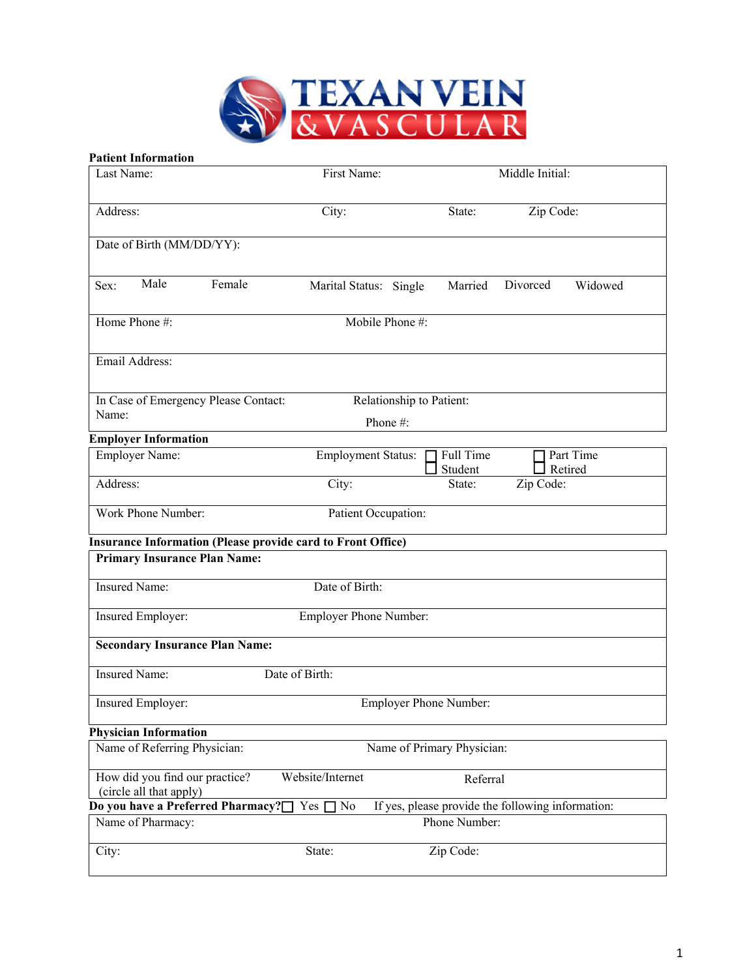

#### **Patient Information**

| Last Name:                                                | First Name:                                                        |                            | Middle Initial:                                   |
|-----------------------------------------------------------|--------------------------------------------------------------------|----------------------------|---------------------------------------------------|
| Address:                                                  | City:                                                              | State:                     | Zip Code:                                         |
| Date of Birth (MM/DD/YY):                                 |                                                                    |                            |                                                   |
| Male<br>Sex:                                              | Female<br>Marital Status: Single                                   | Married                    | Divorced<br>Widowed                               |
| Home Phone #:                                             |                                                                    | Mobile Phone #:            |                                                   |
| Email Address:                                            |                                                                    |                            |                                                   |
| In Case of Emergency Please Contact:                      |                                                                    | Relationship to Patient:   |                                                   |
| Name:                                                     |                                                                    | Phone#:                    |                                                   |
| <b>Employer Information</b>                               |                                                                    |                            |                                                   |
| Employer Name:                                            | <b>Employment Status:</b>                                          | Full Time<br>Student       | Part Time<br>Retired                              |
| Address:                                                  | City:                                                              | State:                     | Zip Code:                                         |
| Work Phone Number:                                        |                                                                    | Patient Occupation:        |                                                   |
|                                                           | <b>Insurance Information (Please provide card to Front Office)</b> |                            |                                                   |
| <b>Primary Insurance Plan Name:</b>                       |                                                                    |                            |                                                   |
| <b>Insured Name:</b>                                      | Date of Birth:                                                     |                            |                                                   |
| Insured Employer:                                         | <b>Employer Phone Number:</b>                                      |                            |                                                   |
| <b>Secondary Insurance Plan Name:</b>                     |                                                                    |                            |                                                   |
| <b>Insured Name:</b>                                      | Date of Birth:                                                     |                            |                                                   |
| Insured Employer:                                         |                                                                    | Employer Phone Number:     |                                                   |
| <b>Physician Information</b>                              |                                                                    |                            |                                                   |
| Name of Referring Physician:                              |                                                                    | Name of Primary Physician: |                                                   |
| How did you find our practice?<br>(circle all that apply) | Website/Internet                                                   | Referral                   |                                                   |
| Do you have a Preferred Pharmacy?[                        | Yes [<br>No                                                        |                            | If yes, please provide the following information: |
| Name of Pharmacy:                                         |                                                                    | Phone Number:              |                                                   |
| City:                                                     | State:                                                             | Zip Code:                  |                                                   |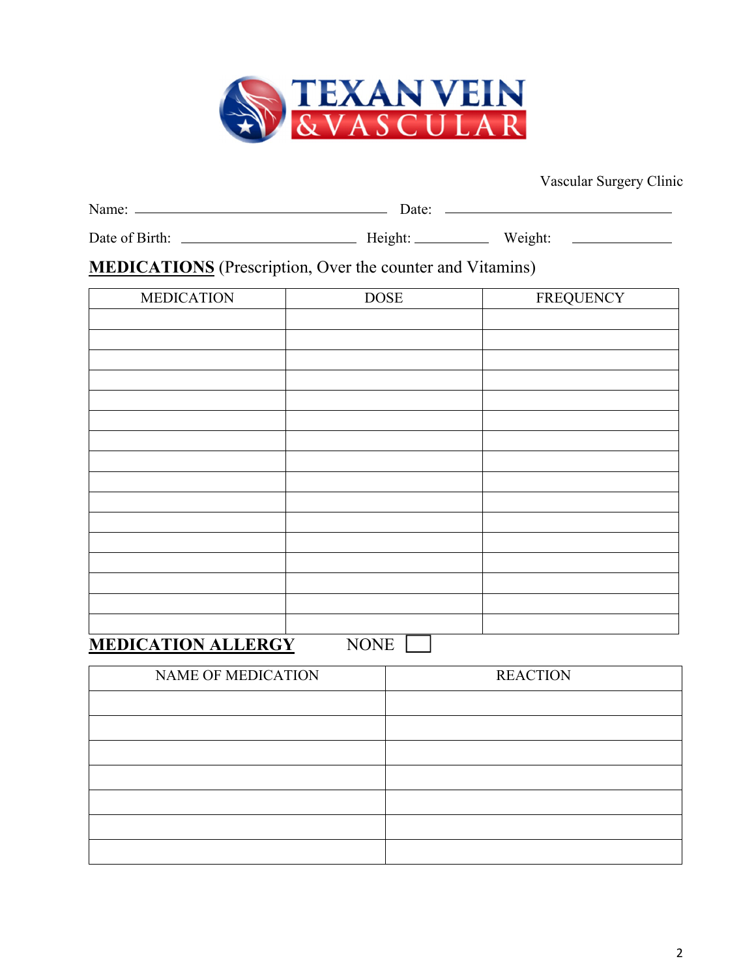

| Name:          | Date:   |         |  |
|----------------|---------|---------|--|
| Date of Birth: | Height: | Weight: |  |

# **MEDICATIONS** (Prescription, Over the counter and Vitamins)

| <b>MEDICATION</b>   | <b>DOSE</b> | <b>FREQUENCY</b> |
|---------------------|-------------|------------------|
|                     |             |                  |
|                     |             |                  |
|                     |             |                  |
|                     |             |                  |
|                     |             |                  |
|                     |             |                  |
|                     |             |                  |
|                     |             |                  |
|                     |             |                  |
|                     |             |                  |
|                     |             |                  |
|                     |             |                  |
|                     |             |                  |
|                     |             |                  |
|                     |             |                  |
|                     |             |                  |
| MEDICATION AT LEDCV | MOME        |                  |

### **MEDICATION ALLERGY** NONE

| <b>NAME OF MEDICATION</b> | <b>REACTION</b> |
|---------------------------|-----------------|
|                           |                 |
|                           |                 |
|                           |                 |
|                           |                 |
|                           |                 |
|                           |                 |
|                           |                 |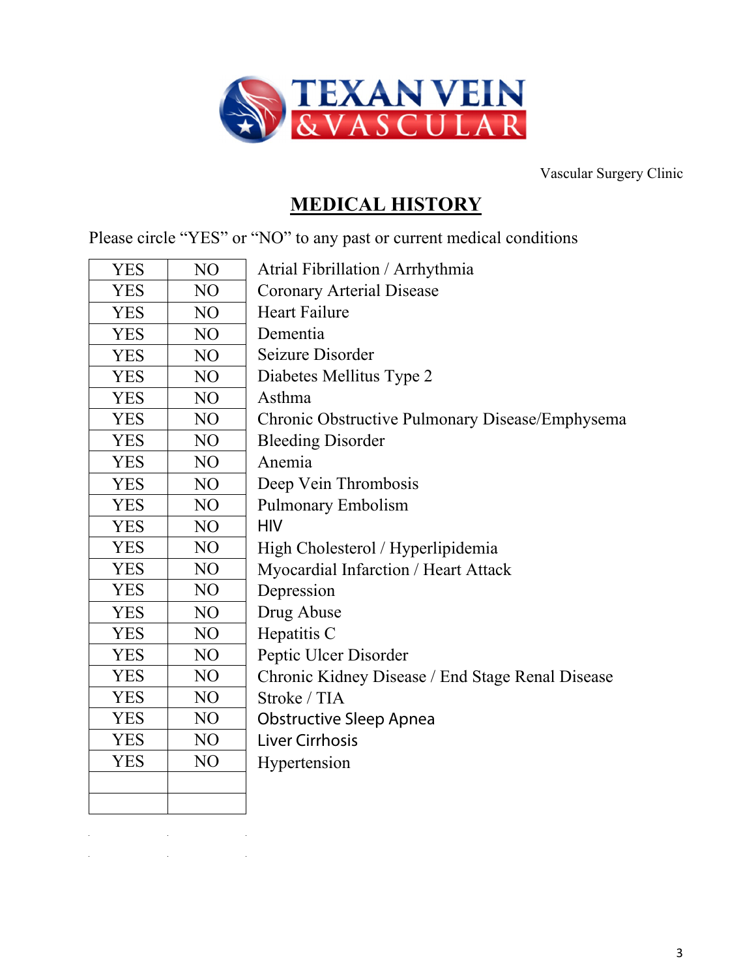

# **MEDICAL HISTORY**

Please circle "YES" or "NO" to any past or current medical conditions

| <b>YES</b> | NO  | Atrial Fibrillation / Arrhythmia                 |
|------------|-----|--------------------------------------------------|
| <b>YES</b> | NO  | <b>Coronary Arterial Disease</b>                 |
| <b>YES</b> | NO  | <b>Heart Failure</b>                             |
| <b>YES</b> | NO  | Dementia                                         |
| <b>YES</b> | NO  | Seizure Disorder                                 |
| <b>YES</b> | NO  | Diabetes Mellitus Type 2                         |
| <b>YES</b> | NO  | Asthma                                           |
| <b>YES</b> | NO  | Chronic Obstructive Pulmonary Disease/Emphysema  |
| <b>YES</b> | NO  | <b>Bleeding Disorder</b>                         |
| <b>YES</b> | NO. | Anemia                                           |
| <b>YES</b> | NO  | Deep Vein Thrombosis                             |
| <b>YES</b> | NO  | <b>Pulmonary Embolism</b>                        |
| <b>YES</b> | NO  | <b>HIV</b>                                       |
| <b>YES</b> | NO  | High Cholesterol / Hyperlipidemia                |
| <b>YES</b> | NO  | Myocardial Infarction / Heart Attack             |
| <b>YES</b> | NO  | Depression                                       |
| <b>YES</b> | NO  | Drug Abuse                                       |
| <b>YES</b> | NO  | Hepatitis C                                      |
| <b>YES</b> | NO  | Peptic Ulcer Disorder                            |
| <b>YES</b> | NO  | Chronic Kidney Disease / End Stage Renal Disease |
| <b>YES</b> | NO  | Stroke / TIA                                     |
| <b>YES</b> | NO  | <b>Obstructive Sleep Apnea</b>                   |
| <b>YES</b> | NO  | <b>Liver Cirrhosis</b>                           |
| <b>YES</b> | NO  | Hypertension                                     |
|            |     |                                                  |
|            |     |                                                  |

 $\mathcal{L}_{\mathcal{A}}$  and  $\mathcal{L}_{\mathcal{A}}$  are the set of the set of the set of the set of  $\mathcal{L}_{\mathcal{A}}$  $\mathcal{L}^{\mathcal{L}}(\mathcal{L}^{\mathcal{L}})$  and  $\mathcal{L}^{\mathcal{L}}(\mathcal{L}^{\mathcal{L}})$  and  $\mathcal{L}^{\mathcal{L}}(\mathcal{L}^{\mathcal{L}})$  . In the contribution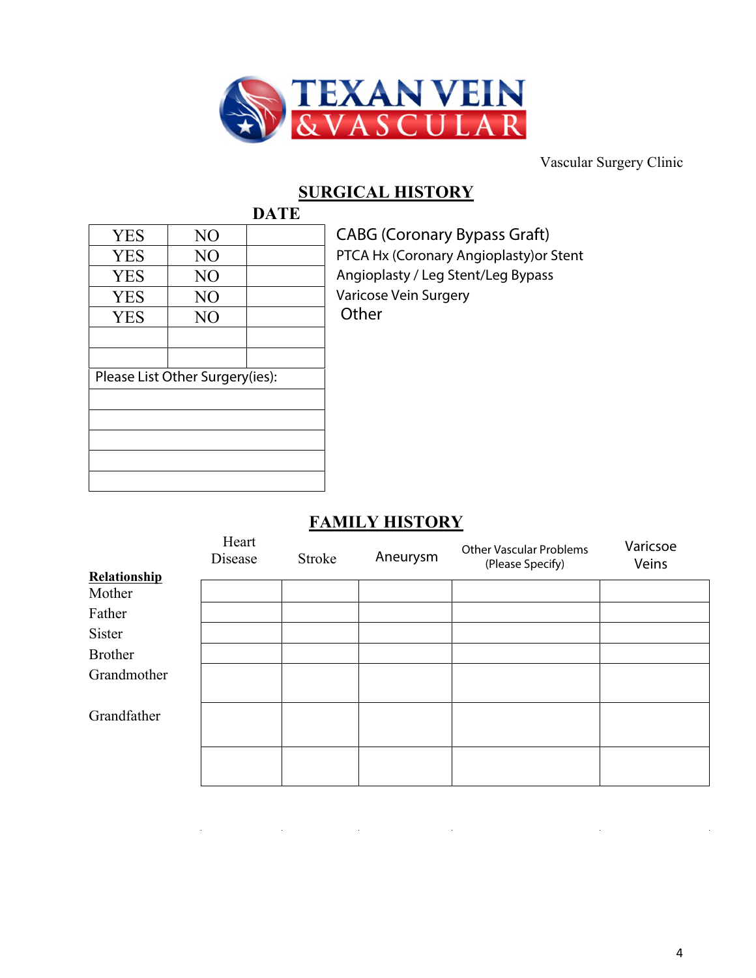

### **SURGICAL HISTORY DATE**

| <b>YES</b> | N <sub>O</sub>                  |  |
|------------|---------------------------------|--|
| <b>YES</b> | N <sub>O</sub>                  |  |
| <b>YES</b> | NO                              |  |
| <b>YES</b> | N <sub>O</sub>                  |  |
| <b>YES</b> | N <sub>O</sub>                  |  |
|            |                                 |  |
|            |                                 |  |
|            | Please List Other Surgery(ies): |  |
|            |                                 |  |
|            |                                 |  |
|            |                                 |  |
|            |                                 |  |
|            |                                 |  |
|            |                                 |  |

CABG (Coronary Bypass Graft)

PTCA Hx (Coronary Angioplasty)or Stent Angioplasty / Leg Stent/Leg Bypass

Varicose Vein Surgery

**Other** 

# **FAMILY HISTORY**

|                | Heart<br>Disease | Stroke | Aneurysm | <b>Other Vascular Problems</b><br>(Please Specify) | Varicsoe<br>Veins |
|----------------|------------------|--------|----------|----------------------------------------------------|-------------------|
| Relationship   |                  |        |          |                                                    |                   |
| Mother         |                  |        |          |                                                    |                   |
| Father         |                  |        |          |                                                    |                   |
| Sister         |                  |        |          |                                                    |                   |
| <b>Brother</b> |                  |        |          |                                                    |                   |
| Grandmother    |                  |        |          |                                                    |                   |
| Grandfather    |                  |        |          |                                                    |                   |
|                |                  |        |          |                                                    |                   |

 $\mathcal{L}^{\mathcal{L}}(\mathcal{L}^{\mathcal{L}})$  and the contribution of the contribution of  $\mathcal{L}^{\mathcal{L}}$  $\hat{\mathcal{L}}$  $\mathcal{A}^{\mathcal{A}}$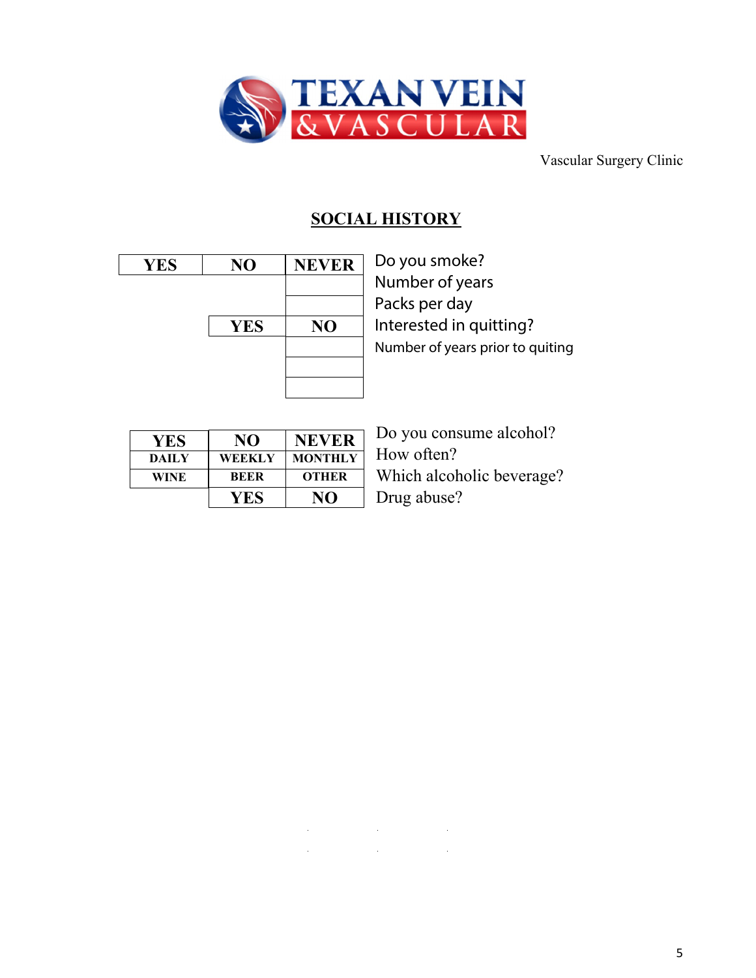

# **SOCIAL HISTORY**

and the state of the state of

 $\sim 10$ 

 $\sim 10^{-10}$ 

 $\mathcal{L}$ 

 $\mathcal{L}^{\text{max}}$ 

| <b>YES</b> | NO         | <b>NEVER</b>   |
|------------|------------|----------------|
|            |            |                |
|            | <b>YES</b> | N <sub>O</sub> |
|            |            |                |
|            |            |                |
|            |            |                |

Do you smoke? Number of years Packs per day Interested in quitting? Number of years prior to quiting

| YES.         | NO            | NEVER        |
|--------------|---------------|--------------|
| <b>DAILY</b> | <b>WEEKLY</b> | MONTHLY      |
| WINE         | <b>BEER</b>   | <b>OTHER</b> |
|              |               |              |

Do you consume alcohol? How often? Which alcoholic beverage? Drug abuse?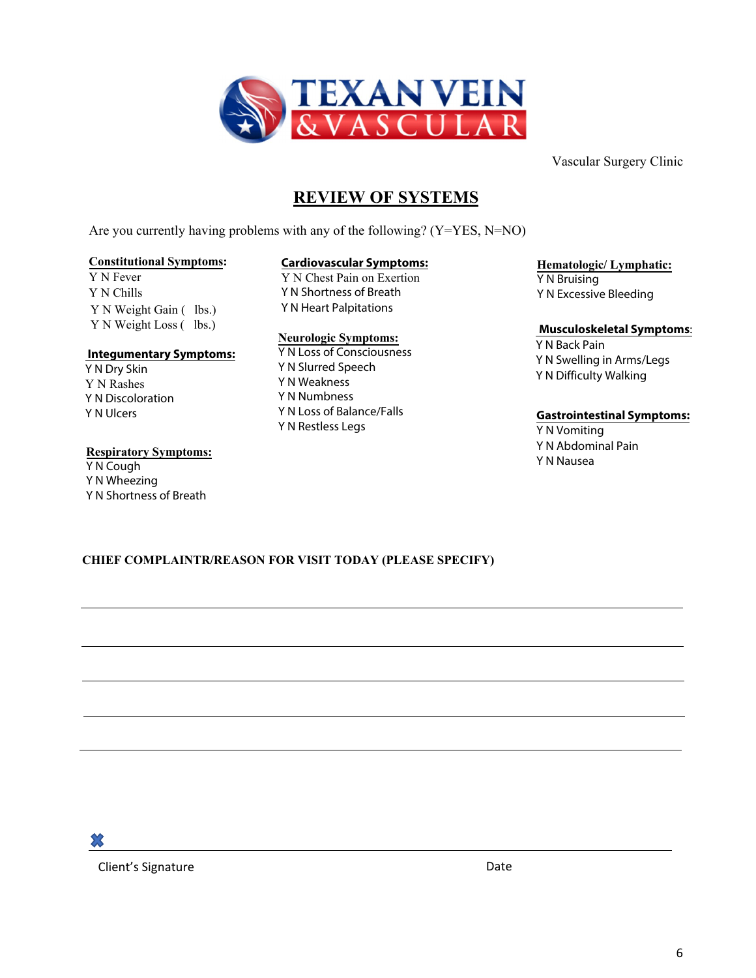

# **REVIEW OF SYSTEMS**

Are you currently having problems with any of the following? (Y=YES, N=NO)

#### **Constitutional Symptoms:**

Y N Fever Y N Chills Y N Weight Gain ( lbs.) Y N Weight Loss (lbs.)

#### **Integumentary Symptoms:**

 Y N Dry Skin Y N Rashes Y N Discoloration Y N Ulcers

#### **Respiratory Symptoms:**

Y N Cough Y N Wheezing Y N Shortness of Breath

### **Cardiovascular Symptoms:**

Y N Chest Pain on Exertion Y N Shortness of Breath Y N Heart Palpitations

#### **Neurologic Symptoms:**

Y N Loss of Consciousness Y N Slurred Speech Y N Weakness Y N Numbness Y N Loss of Balance/Falls Y N Restless Legs

### **Hematologic/ Lymphatic:**

Y N Bruising Y N Excessive Bleeding

### **Musculoskeletal Symptoms**:

Y N Back Pain Y N Swelling in Arms/Legs Y N Difficulty Walking

### **Gastrointestinal Symptoms:**

Y N Vomiting Y N Abdominal Pain Y N Nausea

### **CHIEF COMPLAINTR/REASON FOR VISIT TODAY (PLEASE SPECIFY)**

Client's Signature Date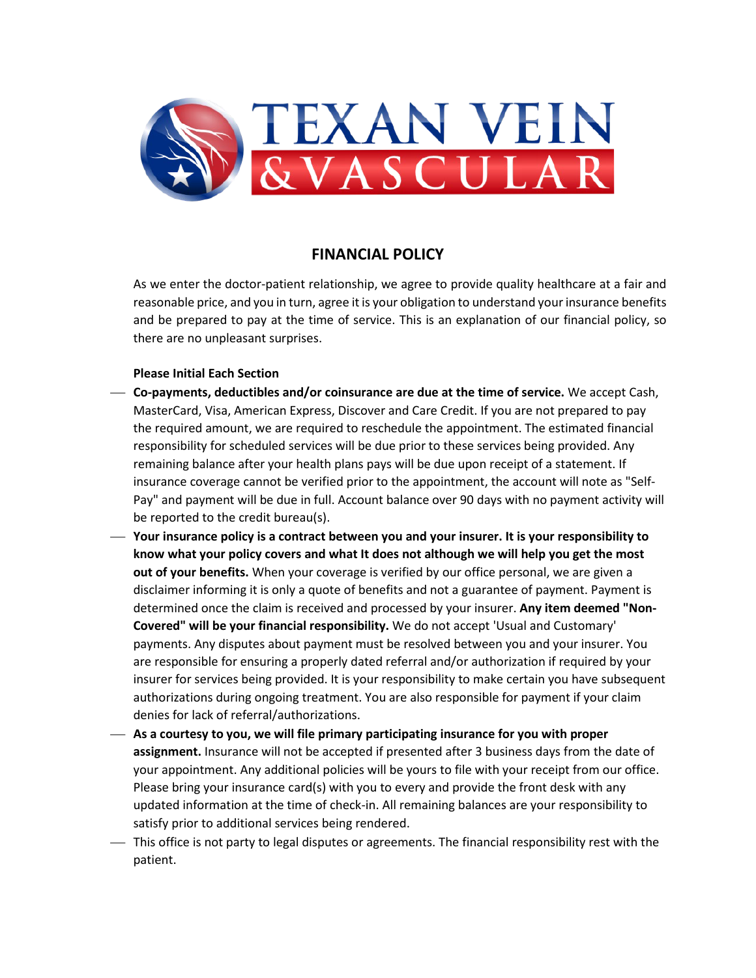

### **FINANCIAL POLICY**

As we enter the doctor-patient relationship, we agree to provide quality healthcare at a fair and reasonable price, and you in turn, agree it is your obligation to understand your insurance benefits and be prepared to pay at the time of service. This is an explanation of our financial policy, so there are no unpleasant surprises.

### **Please Initial Each Section**

- **Co-payments, deductibles and/or coinsurance are due at the time of service.** We accept Cash, MasterCard, Visa, American Express, Discover and Care Credit. If you are not prepared to pay the required amount, we are required to reschedule the appointment. The estimated financial responsibility for scheduled services will be due prior to these services being provided. Any remaining balance after your health plans pays will be due upon receipt of a statement. If insurance coverage cannot be verified prior to the appointment, the account will note as "Self-Pay" and payment will be due in full. Account balance over 90 days with no payment activity will be reported to the credit bureau(s).
- **Your insurance policy is a contract between you and your insurer. It is your responsibility to know what your policy covers and what It does not although we will help you get the most out of your benefits.** When your coverage is verified by our office personal, we are given a disclaimer informing it is only a quote of benefits and not a guarantee of payment. Payment is determined once the claim is received and processed by your insurer. **Any item deemed "Non-Covered" will be your financial responsibility.** We do not accept 'Usual and Customary' payments. Any disputes about payment must be resolved between you and your insurer. You are responsible for ensuring a properly dated referral and/or authorization if required by your insurer for services being provided. It is your responsibility to make certain you have subsequent authorizations during ongoing treatment. You are also responsible for payment if your claim denies for lack of referral/authorizations.
- **As a courtesy to you, we will file primary participating insurance for you with proper assignment.** Insurance will not be accepted if presented after 3 business days from the date of your appointment. Any additional policies will be yours to file with your receipt from our office. Please bring your insurance card(s) with you to every and provide the front desk with any updated information at the time of check-in. All remaining balances are your responsibility to satisfy prior to additional services being rendered.
- This office is not party to legal disputes or agreements. The financial responsibility rest with the patient.